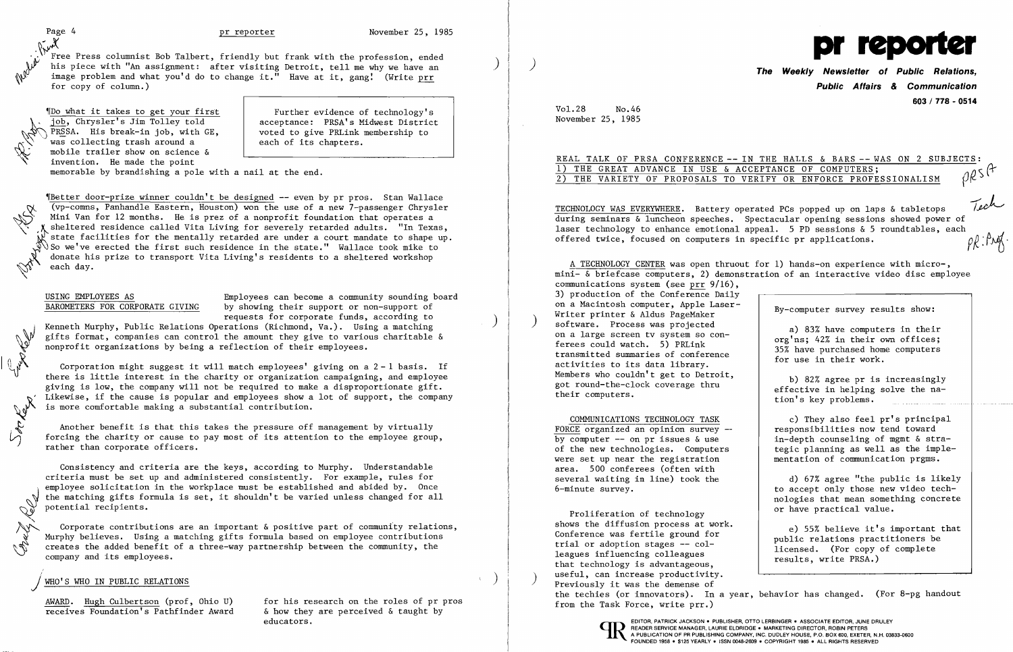1 President

Cent.

 $\cup$ 

Free Press columnist Bob Talbert, friendly but frank with the profession, ended V Free Press columnist Bob Talbert, friendly but frank with the profession, ended<br>Whis piece with "An assignment: after visiting Detroit, tell me why we have an (William Company of Public Relations, 1999)<br>Whis piece with " image problem and what you'd do to change it." Have at it, gang! (Write  $\frac{prr}{r}$  for copy of column.)

 $^{\prime\prime}$ Do what it takes to get your first  $^-$  Further evidence of technology's acceptance: PRSA's Midwest District voted to give PRLink membership to each of its chapters.

job, Chrysler's Jim Tolley told PRSSA. His break-in job, with GE, was collecting trash around a mobile trailer show on science & invention. He made the point

~IBetter door-prize winner couldn't be designed -- even by pr pros. Stan Wallace (vp-comns, Panhandle Eastern, Houston) won the use of a new 7-passenger Chrysler Mini Van for 12 months. He is prez of a nonprofit foundation that operates a sheltered residence called Vita Living for severely retarded adults. "In Texas, state facilities for the mentally retarded are under a court mandate to shape up. of So we've erected the first such residence in the state." Wallace took mike to donate his prize to transport Vita Living's residents to a sheltered workshop each day.

USING EMPLOYEES AS<br>BAROMETERS FOR CORPORATE GIVING by showing their support or non-support of by showing their support or non-support of

memorable by brandishing a pole with a nail at the end.

requests for corporate funds, according to<br>Kenneth Murphy, Public Relations Operations (Richmond, Va.). Using a matching gifts format, companies can control the amount they give to various charitable & nonprofit organizations by being a reflection of their employees.

Corporation might suggest it will match  $employees'$  giving on a  $2 - 1$  basis. If there is little interest in the charity or organization campaigning, and employee giving is low, the company will not be required to make a disproportionate gift. Likewise, if the cause is popular and employees show a lot of support, the company is more comfortable making a substantial contribution.

Another benefit is that this takes the pressure off management by virtually forcing the charity or cause to pay most of its attention to the employee group, rather than corporate officers.

Corporate contributions are an important  $\&$  positive part of community relations, Murphy believes. Using a matching gifts formula based on employee contributions :<br>creates the added benefit of a three-way partnership between the community, the company and its employees.

### WHO'S WHO IN PUBLIC RELATIONS

receives Foundation's Pathfinder Award

 $\frac{\text{AWARD.}}{\text{Heceives}$  Eugh Culbertson (prof, Ohio U) for his research on the roles of pr pros<br>receives Foundation's Pathfinder Award 6 how they are perceived & taught by educators.

## 1) THE GREAT ADVANCE IN USE & ACCEPTANCE OF COMPUTERS; (} 2) THE VARIETY OF PROPOSALS TO VERIFY OR ENFORCE PROFESSIONALISM

TECHNOLOGY WAS EVERYWHERE. Battery operated PCs popped up on laps & tabletops during seminars & luncheon speeches. Spectacular opening sessions showed power of laser technology to enhance emotional appeal. 5 PD sessions & 5 roundtables, each offered twice, focused on computers in specific pr applications.  $\rho \mathcal{L}$ : $\beta \mathcal{M}$ . offered twice, focused on computers in specific pr applications.

Consistency and criteria are the keys, according to Murphy. Understandable criteria must be set up and administered consistently. For example, rules for employee solicitation in the workplace must be established and abided by. Once the matching gifts formula is set, it shouldn't be varied unless changed for all potential recipients.

**Public Affairs & Communication 603 / 778 - 0514** 

REAL TALK OF PRSA CONFERENCE -- IN THE HALLS & BARS -- WAS ON 2 SUBJECTS:<br>1) THE GREAT ADVANCE IN USE & ACCEPTANCE OF COMPUTERS;<br>2) THE VARIETY OF PROPOSALS TO VERTEY OF ENTOROL PROPERTION

Vol.28 No.46 November 25, 1985

COMMUNICATIONS TECHNOLOGY TASK FORCE organized an opinion survey by computer  $--$  on pr issues & use of the new technologies. Computers were set up near the registration area. 500 conferees (often with several waiting in line) took the 6-minute survey.

A TECHNOLOGY CENTER was open thruout for 1) hands-on experience with micro-, mini- & briefcase computers, 2) demonstration of an interactive video disc employee communications system (see prr 9/16), 3) production of the Conference Daily on a Macintosh computer, Apple Laser-Writer printer & Aldus PageMaker<br>software. Process was projected on a large screen tv system so conferees could watch. 5) PRLink transmitted summaries of conference activities to its data library. Members who couldn't get to Detroit, got round-the-clock coverage thru their computers. By-computer survey results show: a) 83% have computers in their org'ns; 42% in their own offices; 35% have purchased home computers for use in their work. b) 82% agree pr is increasingly effective in helping solve the nation's key problems.

Proliferation of technology shows the diffusion process at work. Conference was fertile ground for trial or adoption stages -- colleagues influencing colleagues that technology is advantageous, useful, can increase productivity.<br>Previously it was the demense of the techies (or innovators). In a year, behavior has changed. (For 8-pg handout from the Task Force, write prr.) e) 55% believe it's important that public relations practitioners be licensed. (For copy of complete results, write PRSA.)



c) They also feel pr's principal responsibilities now tend toward in-depth counseling of mgmt & strategic planning as well as the implementation of communication prgms.

d) 67% agree "the public is likely to accept only those new video technologies that mean something concrete or have practical value.